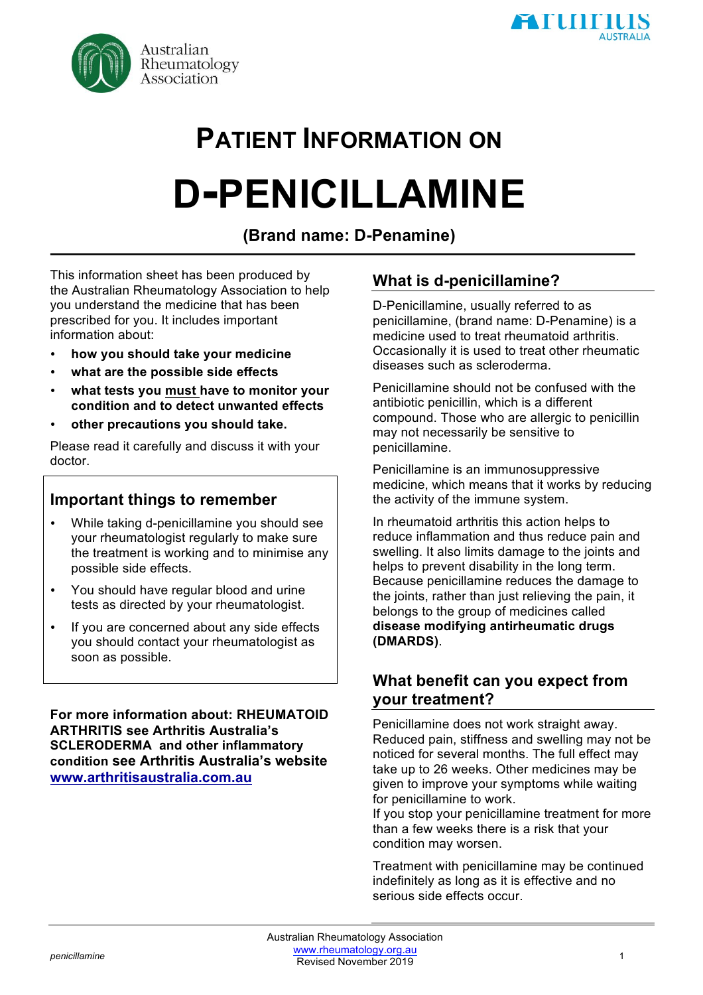

# **PATIENT INFORMATION ON D-PENICILLAMINE**

## **(Brand name: D-Penamine)**

This information sheet has been produced by the Australian Rheumatology Association to help you understand the medicine that has been prescribed for you. It includes important information about:

- **how you should take your medicine**
- **what are the possible side effects**
- **what tests you must have to monitor your condition and to detect unwanted effects**
- **other precautions you should take.**

Please read it carefully and discuss it with your doctor.

### **Important things to remember**

- While taking d-penicillamine you should see your rheumatologist regularly to make sure the treatment is working and to minimise any possible side effects.
- You should have regular blood and urine tests as directed by your rheumatologist.
- If you are concerned about any side effects you should contact your rheumatologist as soon as possible.

**For more information about: RHEUMATOID ARTHRITIS see Arthritis Australia's SCLERODERMA and other inflammatory condition see Arthritis Australia's website www.arthritisaustralia.com.au**

## **What is d-penicillamine?**

D-Penicillamine, usually referred to as penicillamine, (brand name: D-Penamine) is a medicine used to treat rheumatoid arthritis. Occasionally it is used to treat other rheumatic diseases such as scleroderma.

Penicillamine should not be confused with the antibiotic penicillin, which is a different compound. Those who are allergic to penicillin may not necessarily be sensitive to penicillamine.

Penicillamine is an immunosuppressive medicine, which means that it works by reducing the activity of the immune system.

In rheumatoid arthritis this action helps to reduce inflammation and thus reduce pain and swelling. It also limits damage to the joints and helps to prevent disability in the long term. Because penicillamine reduces the damage to the joints, rather than just relieving the pain, it belongs to the group of medicines called **disease modifying antirheumatic drugs (DMARDS)**.

#### **What benefit can you expect from your treatment?**

Penicillamine does not work straight away. Reduced pain, stiffness and swelling may not be noticed for several months. The full effect may take up to 26 weeks. Other medicines may be given to improve your symptoms while waiting for penicillamine to work.

If you stop your penicillamine treatment for more than a few weeks there is a risk that your condition may worsen.

Treatment with penicillamine may be continued indefinitely as long as it is effective and no serious side effects occur.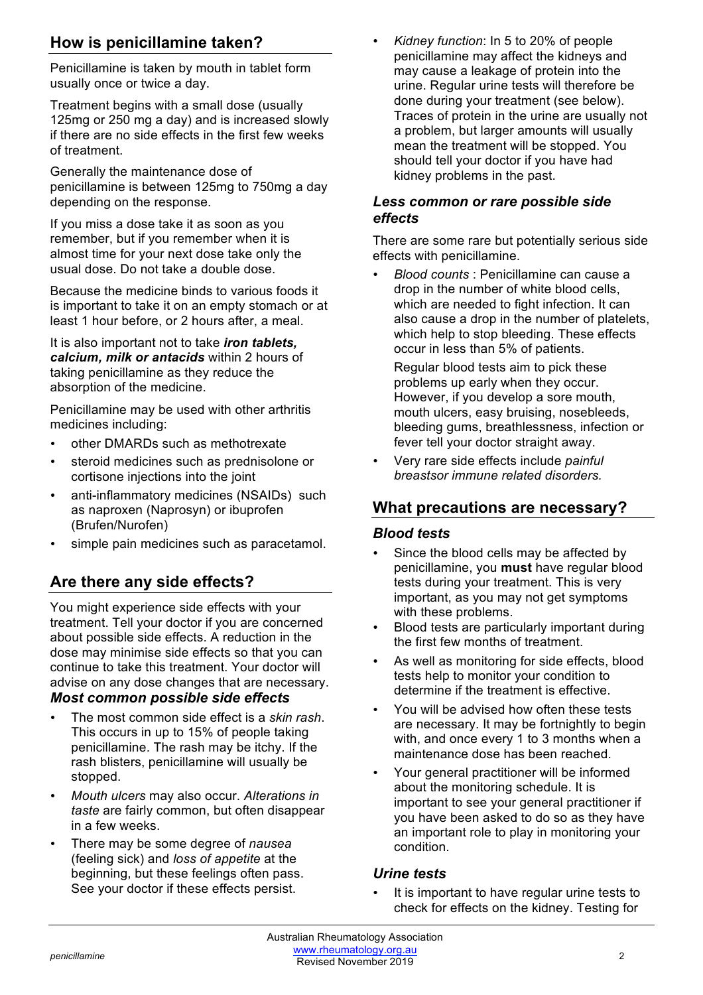## **How is penicillamine taken?**

Penicillamine is taken by mouth in tablet form usually once or twice a day.

Treatment begins with a small dose (usually 125mg or 250 mg a day) and is increased slowly if there are no side effects in the first few weeks of treatment.

Generally the maintenance dose of penicillamine is between 125mg to 750mg a day depending on the response.

If you miss a dose take it as soon as you remember, but if you remember when it is almost time for your next dose take only the usual dose. Do not take a double dose.

Because the medicine binds to various foods it is important to take it on an empty stomach or at least 1 hour before, or 2 hours after, a meal.

It is also important not to take *iron tablets, calcium, milk or antacids* within 2 hours of taking penicillamine as they reduce the absorption of the medicine.

Penicillamine may be used with other arthritis medicines including:

- other DMARDs such as methotrexate
- steroid medicines such as prednisolone or cortisone injections into the joint
- anti-inflammatory medicines (NSAIDs) such as naproxen (Naprosyn) or ibuprofen (Brufen/Nurofen)
- simple pain medicines such as paracetamol.

## **Are there any side effects?**

You might experience side effects with your treatment. Tell your doctor if you are concerned about possible side effects. A reduction in the dose may minimise side effects so that you can continue to take this treatment. Your doctor will advise on any dose changes that are necessary. *Most common possible side effects*

#### • The most common side effect is a *skin rash*. This occurs in up to 15% of people taking penicillamine. The rash may be itchy. If the rash blisters, penicillamine will usually be stopped.

- *Mouth ulcers* may also occur. *Alterations in taste* are fairly common, but often disappear in a few weeks.
- There may be some degree of *nausea*  (feeling sick) and *loss of appetite* at the beginning, but these feelings often pass. See your doctor if these effects persist.

• *Kidney function*: In 5 to 20% of people penicillamine may affect the kidneys and may cause a leakage of protein into the urine. Regular urine tests will therefore be done during your treatment (see below). Traces of protein in the urine are usually not a problem, but larger amounts will usually mean the treatment will be stopped. You should tell your doctor if you have had kidney problems in the past.

#### *Less common or rare possible side effects*

There are some rare but potentially serious side effects with penicillamine.

• *Blood counts* : Penicillamine can cause a drop in the number of white blood cells, which are needed to fight infection. It can also cause a drop in the number of platelets, which help to stop bleeding. These effects occur in less than 5% of patients.

Regular blood tests aim to pick these problems up early when they occur. However, if you develop a sore mouth, mouth ulcers, easy bruising, nosebleeds, bleeding gums, breathlessness, infection or fever tell your doctor straight away.

• Very rare side effects include *painful breastsor immune related disorders.*

## **What precautions are necessary?**

#### *Blood tests*

- Since the blood cells may be affected by penicillamine, you **must** have regular blood tests during your treatment. This is very important, as you may not get symptoms with these problems.
- Blood tests are particularly important during the first few months of treatment.
- As well as monitoring for side effects, blood tests help to monitor your condition to determine if the treatment is effective.
- You will be advised how often these tests are necessary. It may be fortnightly to begin with, and once every 1 to 3 months when a maintenance dose has been reached.
- Your general practitioner will be informed about the monitoring schedule. It is important to see your general practitioner if you have been asked to do so as they have an important role to play in monitoring your condition.

#### *Urine tests*

It is important to have regular urine tests to check for effects on the kidney. Testing for